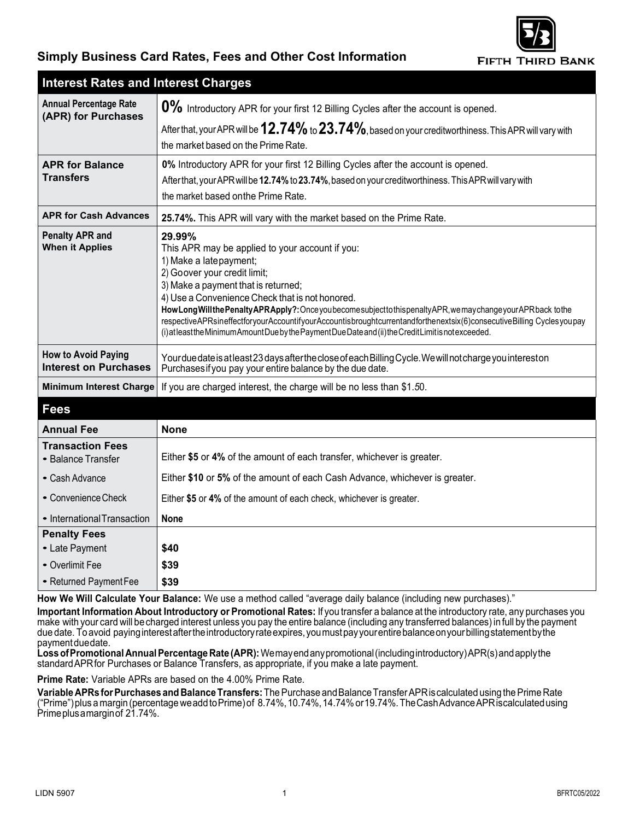

## **Simply Business Card Rates, Fees and Other Cost Information**

| <b>Interest Rates and Interest Charges</b>                 |                                                                                                                                                                                                                                                                                                                                                                                                                                                                                                                                                                         |
|------------------------------------------------------------|-------------------------------------------------------------------------------------------------------------------------------------------------------------------------------------------------------------------------------------------------------------------------------------------------------------------------------------------------------------------------------------------------------------------------------------------------------------------------------------------------------------------------------------------------------------------------|
| <b>Annual Percentage Rate</b><br>(APR) for Purchases       | 0% Introductory APR for your first 12 Billing Cycles after the account is opened.                                                                                                                                                                                                                                                                                                                                                                                                                                                                                       |
|                                                            | After that, your APR will be $12.74\%$ to $23.74\%$ , based on your creditworthiness. This APR will vary with                                                                                                                                                                                                                                                                                                                                                                                                                                                           |
|                                                            | the market based on the Prime Rate.                                                                                                                                                                                                                                                                                                                                                                                                                                                                                                                                     |
| <b>APR for Balance</b><br><b>Transfers</b>                 | 0% Introductory APR for your first 12 Billing Cycles after the account is opened.<br>After that, your APR will be 12.74% to 23.74%, based on your creditworthiness. This APR will vary with<br>the market based on the Prime Rate.                                                                                                                                                                                                                                                                                                                                      |
| <b>APR for Cash Advances</b>                               | 25.74%. This APR will vary with the market based on the Prime Rate.                                                                                                                                                                                                                                                                                                                                                                                                                                                                                                     |
| <b>Penalty APR and</b><br><b>When it Applies</b>           | 29.99%<br>This APR may be applied to your account if you:<br>1) Make a latepayment;<br>2) Goover your credit limit;<br>3) Make a payment that is returned;<br>4) Use a Convenience Check that is not honored.<br>How Long Will the Penalty APR Apply?: Once you become subject to this penalty APR, we may change your APR back to the<br>respectiveAPRsineffectforyourAccountifyourAccountisbroughtcurrentandforthenextsix(6)consecutiveBilling Cyclesyoupay<br>(i) at least the Minimum Amount Due by the Payment Due Date and (ii) the Credit Limit is not exceeded. |
| <b>How to Avoid Paying</b><br><b>Interest on Purchases</b> | Yourdue date is at least 23 days after the close of each Billing Cycle. We will not charge you interest on<br>Purchases if you pay your entire balance by the due date.                                                                                                                                                                                                                                                                                                                                                                                                 |
| <b>Minimum Interest Charge</b>                             | If you are charged interest, the charge will be no less than \$1.50.                                                                                                                                                                                                                                                                                                                                                                                                                                                                                                    |
| <b>Fees</b>                                                |                                                                                                                                                                                                                                                                                                                                                                                                                                                                                                                                                                         |
| <b>Annual Fee</b>                                          | <b>None</b>                                                                                                                                                                                                                                                                                                                                                                                                                                                                                                                                                             |
| <b>Transaction Fees</b><br>• Balance Transfer              | Either \$5 or 4% of the amount of each transfer, whichever is greater.                                                                                                                                                                                                                                                                                                                                                                                                                                                                                                  |
| • Cash Advance                                             | Either \$10 or 5% of the amount of each Cash Advance, whichever is greater.                                                                                                                                                                                                                                                                                                                                                                                                                                                                                             |
| • Convenience Check                                        | Either \$5 or 4% of the amount of each check, whichever is greater.                                                                                                                                                                                                                                                                                                                                                                                                                                                                                                     |
| • International Transaction                                | <b>None</b>                                                                                                                                                                                                                                                                                                                                                                                                                                                                                                                                                             |
| <b>Penalty Fees</b>                                        |                                                                                                                                                                                                                                                                                                                                                                                                                                                                                                                                                                         |
| • Late Payment                                             | \$40                                                                                                                                                                                                                                                                                                                                                                                                                                                                                                                                                                    |
| • Overlimit Fee                                            | \$39                                                                                                                                                                                                                                                                                                                                                                                                                                                                                                                                                                    |

**How We Will Calculate Your Balance:** We use a method called "average daily balance (including new purchases)."

**Important Information About Introductory or Promotional Rates:** If you transfer a balance at the introductory rate, any purchases you make with your card will becharged interest unless you pay the entire balance (including any transferred balances) in full by the payment due date. To avoid paying interest after the introductory rate expires, you must pay your entire balance on your billing statement by the payment duedate.

**Loss ofPromotional Annual Percentage Rate (APR):** Wemay end any promotional (including introductory) APR(s) and apply the standard APR for Purchases or Balance Transfers, as appropriate, if you make a late payment.

**Prime Rate:** Variable APRs are based on the 4.00% Prime Rate.

• Returned Payment Fee | \$39

**Variable APRs for Purchases and Balance Transfers:** The Purchase andBalance Transfer APRiscalculated using the Prime Rate ("Prime") plus a margin (percentage weadd toPrime) of 8.74%, 10.74%, 14.74% or19.74%. The Cash Advance APR iscalculated using Prime plus a margin of 21.74%.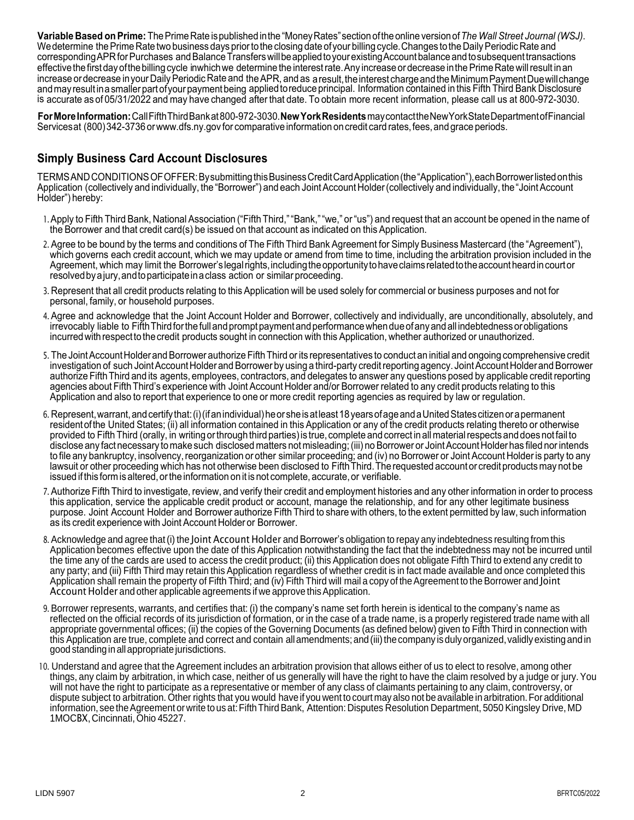**Variable Based onPrime:** The Prime Rate ispublished inthe "Money Rates" section ofthe online version of*The Wall Street Journal (WSJ)*. Wedetermine the Prime Rate two business days prior tothe closing date ofyour billing cycle. Changes tothe Daily Periodic Rate and corresponding APR for Purchases and Balance Transfers willbeapplied toyour existing Account balance and tosubsequent transactions effective the first day ofthe billing cycle inwhich we determine the interest rate. Any increase ordecrease inthe Prime Rate will result inan increase ordecrease inyour Daily Periodic Rate and the APR, and as a result, the interest charge and the Minimum Payment Duewillchange and may result ina smaller part ofyour payment being applied toreduce principal. Information contained in this Fifth Third Bank Disclosure is accurate as of 05/31/2022 and may have changed after that date. To obtain more recent information, please call us at 800-972-3030.

**For More Information:** Call Fifth Third Bank at 800-972-3030.**New York Residents** may contact the NewYork State Department ofFinancial Services at (800) 342-3736 o[rwww.dfs.ny.gov f](http://www.dfs.ny.gov/)or comparative information oncredit card rates, fees, and grace periods.

## **Simply Business Card Account Disclosures**

TERMS AND CONDITIONS OFOFFER: Bysubmitting this Business Credit Card Application (the "Application"), each Borrower listed onthis Application (collectively and individually, the "Borrower") and each Joint Account Holder (collectively and individually, the"Joint Account Holder") hereby:

- 1.Apply to Fifth Third Bank, National Association ("Fifth Third," "Bank," "we," or "us") and request that an account be opened in the name of the Borrower and that credit card(s) be issued on that account as indicated on this Application.
- 2. Agree to be bound by the terms and conditions of The Fifth Third Bank Agreement for Simply Business Mastercard (the "Agreement"), which governs each credit account, which we may update or amend from time to time, including the arbitration provision included in the Agreement, which may limit the Borrower's legal rights, including the opportunity to have claims related to the account heard in court or resolved bya jury, andtoparticipate ina class action or similar proceeding.
- 3. Represent that all credit products relating to this Application will be used solely for commercial or business purposes and not for personal, family, or household purposes.
- 4. Agree and acknowledge that the Joint Account Holder and Borrower, collectively and individually, are unconditionally, absolutely, and irrevocably liable to Fifth Third for the full and prompt payment and performance when due of any and all indebtedness or obligations incurred with respect tothecredit products sought in connection with this Application, whether authorized or unauthorized.
- 5. The Joint Account Holder and Borrower authorize Fifth Third orits representatives to conduct an initial and ongoing comprehensive credit investigation of such Joint Account Holder and Borrower by using a third-party credit reporting agency. Joint Account Holder and Borrower authorize Fifth Third and its agents, employees, contractors, and delegates to answer any questions posed by applicable credit reporting agencies about Fifth Third's experience with Joint Account Holder and/or Borrower related to any credit products relating to this Application and also to report that experience to one or more credit reporting agencies as required by law or regulation.
- 6. Represent, warrant, and certify that: (i) (if anindividual) heorshe isatleast 18years ofageand a United States citizen ora permanent resident ofthe United States; (ii) all information contained in this Application or any of the credit products relating thereto or otherwise provided to Fifth Third (orally, in writing orthrough third parties) is true, complete andcorrect in all material respects anddoesnot fail to disclose any fact necessary to make such disclosed matters not misleading; (iii) no Borrower or Joint Account Holder has filed nor intends to file any bankruptcy, insolvency, reorganization or other similar proceeding; and (iv) no Borrower or Joint Account Holder is party to any lawsuit or other proceeding which has not otherwise been disclosed to Fifth Third. The requested account or credit products may not be issued if this form is altered, or the information on it is not complete, accurate, or verifiable.
- 7. Authorize Fifth Third to investigate, review, and verify their credit and employment histories and any other information in order to process this application, service the applicable credit product or account, manage the relationship, and for any other legitimate business purpose. Joint Account Holder and Borrower authorize Fifth Third to share with others, to the extent permitted by law, such information as its credit experience with Joint Account Holder or Borrower.
- 8. Acknowledge and agree that (i) the Joint Account Holder and Borrower's obligation to repay any indebtedness resulting from this Application becomes effective upon the date of this Application notwithstanding the fact that the indebtedness may not be incurred until the time any of the cards are used to access the credit product; (ii) this Application does not obligate Fifth Third to extend any credit to any party; and (iii) Fifth Third may retain this Application regardless of whether credit is in fact made available and once completed this Application shall remain the property of Fifth Third; and (iv) Fifth Third will mail a copy of the Agreement to the Borrower and Joint Account Holder and other applicable agreements if we approve this Application.
- 9. Borrower represents, warrants, and certifies that: (i) the company's name set forth herein is identical to the company's name as reflected on the official records of its jurisdiction of formation, or in the case of a trade name, is a properly registered trade name with all appropriate governmental offices; (ii) the copies of the Governing Documents (as defined below) given to Fifth Third in connection with this Application are true, complete and correct and contain all amendments; and (iii) the company isduly organized, validly existing and in good standing inall appropriate jurisdictions.
- 10. Understand and agree that the Agreement includes an arbitration provision that allows either of us to elect to resolve, among other things, any claim by arbitration, in which case, neither of us generally will have the right to have the claim resolved by a judge or jury. You will not have the right to participate as a representative or member of any class of claimants pertaining to any claim, controversy, or dispute subject to arbitration. Other rights that you would have if you went to court may also not be available in arbitration. For additional information, see the Agreement or write to us at:Fifth Third Bank, Attention: Disputes Resolution Department, 5050 Kingsley Drive, MD 1MOCBX, Cincinnati, Ohio 45227.